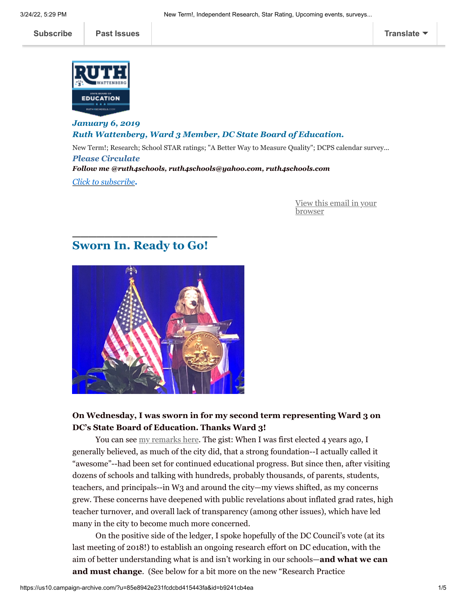

*January 6, 2019 Ruth Wattenberg, Ward 3 Member, DC State Board of Education.* New Term!; Research; School STAR ratings; "A Better Way to Measure Quality"; DCPS calendar survey... *Please Circulate Follow me @ruth4schools, ruth4schools@yahoo.com, ruth4schools.com [Click](mailto:ruth4schools@yahoo.com?subject=Subscribe%20me) [to subscrib](mailto:ruth4schools@yahoo.com?subject=Subscribe%20me!)[e](mailto:ruth4schools@yahoo.com?subject=Subscribe%20me).*

> [View this email in your](https://us10.campaign-archive.com/?e=[UNIQID]&u=85e8942e231fcdcbd415443fa&id=b9241cb4ea) browser

# **Sworn In. Ready to Go!**

**\_\_\_\_\_\_\_\_\_\_\_\_\_\_\_\_\_\_**



### **On Wednesday, I was sworn in for my second term representing Ward 3 on DC's State Board of Education. Thanks Ward 3!**

You can see [my remarks here.](http://www.pscp.tv/w/bwJd5zFvTlFsTGVKbHdrUXd8MXpxS1ZPVkxPcFdHQnJ4o3v4b0uhBUHcJwCGPxxtOgQuuOT123Tzy2JfJUuv?t=5m36s) The gist: When I was first elected 4 years ago, I generally believed, as much of the city did, that a strong foundation--I actually called it "awesome"--had been set for continued educational progress. But since then, after visiting dozens of schools and talking with hundreds, probably thousands, of parents, students, teachers, and principals--in W3 and around the city—my views shifted, as my concerns grew. These concerns have deepened with public revelations about inflated grad rates, high teacher turnover, and overall lack of transparency (among other issues), which have led many in the city to become much more concerned.

On the positive side of the ledger, I spoke hopefully of the DC Council's vote (at its last meeting of 2018!) to establish an ongoing research effort on DC education, with the aim of better understanding what is and isn't working in our schools—**and what we can and must change**. (See below for a bit more on the new "Research Practice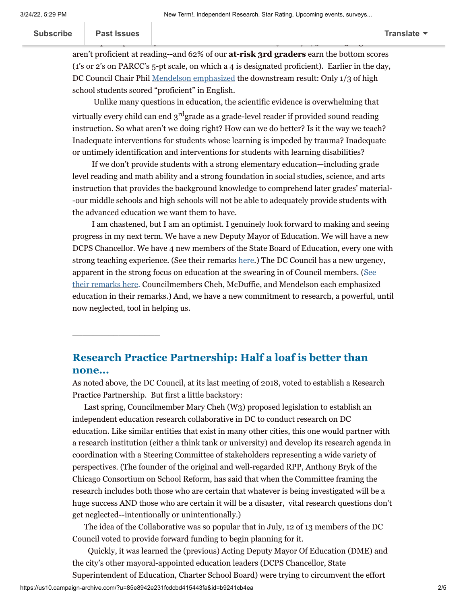Subscribe | Past Issues

**[Subscribe](http://eepurl.com/dfRbw1) Past Issues [Translate](javascript:;)**

 $\_$ 

aren't proficient at reading--and 62% of our **at-risk 3rd graders** earn the bottom scores (1's or 2's on PARCC's 5-pt scale, on which a 4 is designated proficient). Earlier in the day, DC Council Chair Phil [Mendelson emphasized](https://twitter.com/search?q=dc%20council%20swearing%20in&src=typd) the downstream result: Only 1/3 of high school students scored "proficient" in English.

 [I spoke specifical](https://us10.campaign-archive.com/home/?u=85e8942e231fcdcbd415443fa&id=60250198b9)ly about the need to understand why nearly 2/3 of our **3**

Unlike many questions in education, the scientific evidence is overwhelming that virtually every child can end  $3<sup>rd</sup>$ grade as a grade-level reader if provided sound reading instruction. So what aren't we doing right? How can we do better? Is it the way we teach? Inadequate interventions for students whose learning is impeded by trauma? Inadequate or untimely identification and interventions for students with learning disabilities?

 If we don't provide students with a strong elementary education—including grade level reading and math ability and a strong foundation in social studies, science, and arts instruction that provides the background knowledge to comprehend later grades' material- -our middle schools and high schools will not be able to adequately provide students with the advanced education we want them to have.

 I am chastened, but I am an optimist. I genuinely look forward to making and seeing progress in my next term. We have a new Deputy Mayor of Education. We will have a new DCPS Chancellor. We have 4 new members of the State Board of Education, every one with strong teaching experience. (See their remarks [here.](http://www.pscp.tv/w/bwJd5zFvTlFsTGVKbHdrUXd8MXpxS1ZPVkxPcFdHQnJ4o3v4b0uhBUHcJwCGPxxtOgQuuOT123Tzy2JfJUuv?t=5m36s)) The DC Council has a new urgency, [apparent in the strong focus on education at the swearing in of Council members. \(See](https://twitter.com/search?q=dc%20council%20swearing%20in&src=typd) their remarks here. Councilmembers Cheh, McDuffie, and Mendelson each emphasized education in their remarks.) And, we have a new commitment to research, a powerful, until now neglected, tool in helping us.

# **Research Practice Partnership: Half a loaf is better than none...**

As noted above, the DC Council, at its last meeting of 2018, voted to establish a Research Practice Partnership. But first a little backstory:

 Last spring, Councilmember Mary Cheh (W3) proposed legislation to establish an independent education research collaborative in DC to conduct research on DC education. Like similar entities that exist in many other cities, this one would partner with a research institution (either a think tank or university) and develop its research agenda in coordination with a Steering Committee of stakeholders representing a wide variety of perspectives. (The founder of the original and well-regarded RPP, Anthony Bryk of the Chicago Consortium on School Reform, has said that when the Committee framing the research includes both those who are certain that whatever is being investigated will be a huge success AND those who are certain it will be a disaster, vital research questions don't get neglected--intentionally or unintentionally.)

 The idea of the Collaborative was so popular that in July, 12 of 13 members of the DC Council voted to provide forward funding to begin planning for it.

 Quickly, it was learned the (previous) Acting Deputy Mayor Of Education (DME) and the city's other mayoral-appointed education leaders (DCPS Chancellor, State Superintendent of Education, Charter School Board) were trying to circumvent the effort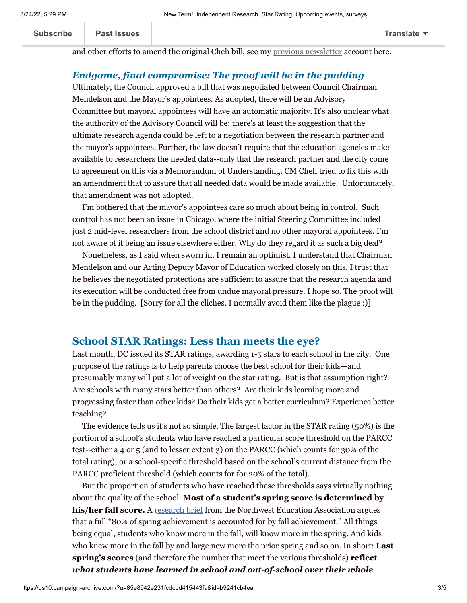**[Subscribe](http://eepurl.com/dfRbw1) Past Issues [Translate](javascript:;)**

and other efforts to amend the original Cheh bill, see my [previous newsletter](https://us10.admin.mailchimp.com/campaigns/show?id=1172641) account here.

## *Endgame, final compromise: The proof will be in the pudding*

Ultimately, the Council approved a bill that was negotiated between Council Chairman Mendelson and the Mayor's appointees. As adopted, there will be an Advisory Committee but mayoral appointees will have an automatic majority. It's also unclear what the authority of the Advisory Council will be; there's at least the suggestion that the ultimate research agenda could be left to a negotiation between the research partner and the mayor's appointees. Further, the law doesn't require that the education agencies make available to researchers the needed data--only that the research partner and the city come to agreement on this via a Memorandum of Understanding. CM Cheh tried to fix this with an amendment that to assure that all needed data would be made available. Unfortunately, that amendment was not adopted.

I'm bothered that the mayor's appointees care so much about being in control. Such control has not been an issue in Chicago, where the initial Steering Committee included just 2 mid-level researchers from the school district and no other mayoral appointees. I'm not aware of it being an issue elsewhere either. Why do they regard it as such a big deal?

Nonetheless, as I said when sworn in, I remain an optimist. I understand that Chairman Mendelson and our Acting Deputy Mayor of Education worked closely on this. I trust that he believes the negotiated protections are sufficient to assure that the research agenda and its execution will be conducted free from undue mayoral pressure. I hope so. The proof will be in the pudding. [Sorry for all the cliches. I normally avoid them like the plague :)]

#### **School STAR Ratings: Less than meets the eye?**

**\_\_\_\_\_\_\_\_\_\_\_\_\_\_\_\_\_\_\_\_\_**

Last month, DC issued its STAR ratings, awarding 1-5 stars to each school in the city. One purpose of the ratings is to help parents choose the best school for their kids—and presumably many will put a lot of weight on the star rating. But is that assumption right? Are schools with many stars better than others? Are their kids learning more and progressing faster than other kids? Do their kids get a better curriculum? Experience better teaching?

The evidence tells us it's not so simple. The largest factor in the STAR rating (50%) is the portion of a school's students who have reached a particular score threshold on the PARCC test--either a 4 or 5 (and to lesser extent 3) on the PARCC (which counts for 30% of the total rating); or a school-specific threshold based on the school's current distance from the PARCC proficient threshold (which counts for for 20% of the total).

But the proportion of students who have reached these thresholds says virtually nothing about the quality of the school. **Most of a student's spring score is determined by his/her fall score.** A r[esearch brief](https://www.nwea.org/content/uploads/2018/10/Evaluating-the-Relationships-Between-Poverty-and-School-Performance.pdf%C2%A0) from the Northwest Education Association argues that a full "80% of spring achievement is accounted for by fall achievement." All things being equal, students who know more in the fall, will know more in the spring. And kids who knew more in the fall by and large new more the prior spring and so on. In short: **Last spring's scores** (and therefore the number that meet the various thresholds) **reflect** *what students have learned in school and out-of-school over their whole*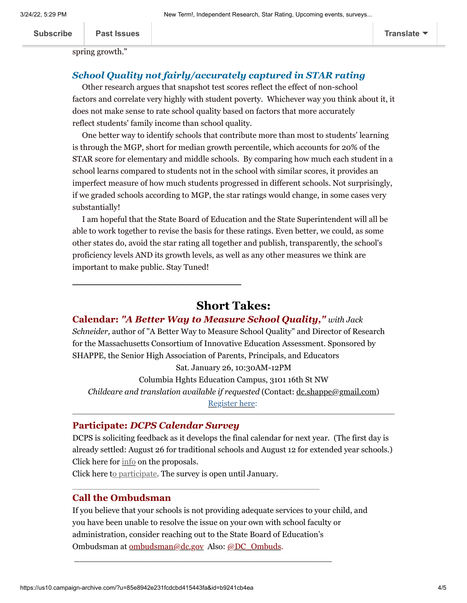spring growth."

#### *School Quality not fairly/accurately captured in STAR rating*

Other research argues that snapshot test scores reflect the effect of non-school factors and correlate very highly with student poverty. Whichever way you think about it, it does not make sense to rate school quality based on factors that more accurately reflect students' family income than school quality.

One better way to identify schools that contribute more than most to students' learning is through the MGP, short for median growth percentile, which accounts for 20% of the STAR score for elementary and middle schools. By comparing how much each student in a school learns compared to students not in the school with similar scores, it provides an imperfect measure of how much students progressed in different schools. Not surprisingly, if we graded schools according to MGP, the star ratings would change, in some cases very substantially!

I am hopeful that the State Board of Education and the State Superintendent will all be able to work together to revise the basis for these ratings. Even better, we could, as some other states do, avoid the star rating all together and publish, transparently, the school's proficiency levels AND its growth levels, as well as any other measures we think are important to make public. Stay Tuned!

# **Short Takes:**

#### **Calendar:** *"A Better Way to Measure School Quality," with Jack*

*Schneider,* author of "A Better Way to Measure School Quality" and Director of Research for the Massachusetts Consortium of Innovative Education Assessment. Sponsored by SHAPPE, the Senior High Association of Parents, Principals, and Educators Sat. January 26, 10:30AM-12PM

Columbia Hghts Education Campus, 3101 16th St NW *Childcare and translation available if requested* (Contact: [dc.shappe@gmail.com](mailto:dc.shappe@gmail.com)) [Register here](https://www.eventbrite.com/e/a-better-way-to-measure-school-quality-tickets-53226810824):

### **Participate:** *DCPS Calendar Survey*

**\_\_\_\_\_\_\_\_\_\_\_\_\_\_\_\_\_\_\_\_\_**

DCPS is soliciting feedback as it develops the final calendar for next year. (The first day is already settled: August 26 for traditional schools and August 12 for extended year schools.) Click here for  $\frac{info}{info}$  on the proposals.

Click here [to participate.](https://docs.google.com/forms/d/e/1FAIpQLScMrkZwhntUZY8Ksao6vSROPz34psCWUgKRQz_rAsGXPwFi8Q/viewform) The survey is open until January.

\_\_\_\_\_\_\_\_\_\_\_\_\_\_\_\_\_\_\_\_\_\_\_\_\_\_\_\_\_\_\_\_\_\_\_\_\_\_\_\_\_\_\_\_\_\_\_\_

\_\_\_\_\_\_\_\_\_\_\_\_\_\_\_\_\_\_\_\_\_\_\_\_\_\_\_\_\_\_\_\_\_\_\_\_\_\_\_\_\_\_\_\_\_\_\_\_\_\_

#### **Call the Ombudsman**

If you believe that your schools is not providing adequate services to your child, and you have been unable to resolve the issue on your own with school faculty or administration, consider reaching out to the State Board of Education's Ombudsman at [ombudsman@dc.gov](mailto:ombudsman@dc.gov) Also: [@DC\\_Ombuds.](https://twitter.com/DCOmbuds)